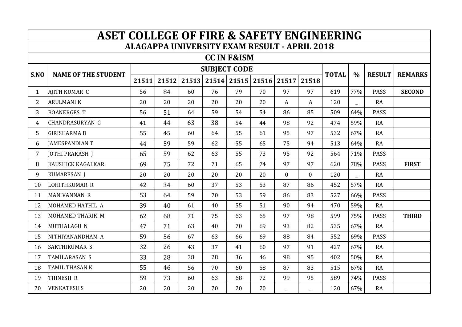| <b>ASET COLLEGE OF FIRE &amp; SAFETY ENGINEERING</b> |                            |       |       |       |                     |             |    |                |                |              |      |               |                |
|------------------------------------------------------|----------------------------|-------|-------|-------|---------------------|-------------|----|----------------|----------------|--------------|------|---------------|----------------|
| <b>ALAGAPPA UNIVERSITY EXAM RESULT - APRIL 2018</b>  |                            |       |       |       |                     |             |    |                |                |              |      |               |                |
| <b>CC IN F&amp;ISM</b>                               |                            |       |       |       |                     |             |    |                |                |              |      |               |                |
| S.NO                                                 | <b>NAME OF THE STUDENT</b> |       |       |       | <b>SUBJECT CODE</b> |             |    |                |                |              |      |               |                |
|                                                      |                            | 21511 | 21512 | 21513 |                     | 21514 21515 |    | 21516 21517    | 21518          | <b>TOTAL</b> | $\%$ | <b>RESULT</b> | <b>REMARKS</b> |
| $\mathbf{1}$                                         | AJITH KUMAR C              | 56    | 84    | 60    | 76                  | 79          | 70 | 97             | 97             | 619          | 77%  | <b>PASS</b>   | <b>SECOND</b>  |
| $\overline{2}$                                       | <b>ARULMANIK</b>           | 20    | 20    | 20    | 20                  | 20          | 20 | A              | $\mathbf{A}$   | 120          |      | <b>RA</b>     |                |
| 3                                                    | <b>BOANERGES T</b>         | 56    | 51    | 64    | 59                  | 54          | 54 | 86             | 85             | 509          | 64%  | <b>PASS</b>   |                |
| 4                                                    | <b>CHANDRASURYAN G</b>     | 41    | 44    | 63    | 38                  | 54          | 44 | 98             | 92             | 474          | 59%  | <b>RA</b>     |                |
| 5                                                    | <b>GIRISHARMA B</b>        | 55    | 45    | 60    | 64                  | 55          | 61 | 95             | 97             | 532          | 67%  | <b>RA</b>     |                |
| 6                                                    | <b>JAMESPANDIAN T</b>      | 44    | 59    | 59    | 62                  | 55          | 65 | 75             | 94             | 513          | 64%  | <b>RA</b>     |                |
| 7                                                    | <b>JOTHI PRAKASH J</b>     | 65    | 59    | 62    | 63                  | 55          | 73 | 95             | 92             | 564          | 71%  | <b>PASS</b>   |                |
| 8                                                    | KAUSHICK KAGALKAR          | 69    | 75    | 72    | 71                  | 65          | 74 | 97             | 97             | 620          | 78%  | <b>PASS</b>   | <b>FIRST</b>   |
| 9                                                    | KUMARESAN J                | 20    | 20    | 20    | 20                  | 20          | 20 | $\overline{0}$ | $\overline{0}$ | 120          |      | RA            |                |
| 10                                                   | LOHITHKUMAR R              | 42    | 34    | 60    | 37                  | 53          | 53 | 87             | 86             | 452          | 57%  | <b>RA</b>     |                |
| 11                                                   | <b>MANIVANNAN R</b>        | 53    | 64    | 59    | 70                  | 53          | 59 | 86             | 83             | 527          | 66%  | <b>PASS</b>   |                |
| 12                                                   | MOHAMED HATHIL A           | 39    | 40    | 61    | 40                  | 55          | 51 | 90             | 94             | 470          | 59%  | <b>RA</b>     |                |
| 13                                                   | MOHAMED THARIK M           | 62    | 68    | 71    | 75                  | 63          | 65 | 97             | 98             | 599          | 75%  | <b>PASS</b>   | <b>THIRD</b>   |
| 14                                                   | MUTHALAGU N                | 47    | 71    | 63    | 40                  | 70          | 69 | 93             | 82             | 535          | 67%  | RA            |                |
| 15                                                   | NITHIYANANDHAM A           | 59    | 56    | 67    | 63                  | 66          | 69 | 88             | 84             | 552          | 69%  | <b>PASS</b>   |                |
| 16                                                   | SAKTHIKUMAR S              | 32    | 26    | 43    | 37                  | 41          | 60 | 97             | 91             | 427          | 67%  | <b>RA</b>     |                |
| 17                                                   | TAMILARASAN S              | 33    | 28    | 38    | 28                  | 36          | 46 | 98             | 95             | 402          | 50%  | <b>RA</b>     |                |
| 18                                                   | TAMIL THASAN K             | 55    | 46    | 56    | 70                  | 60          | 58 | 87             | 83             | 515          | 67%  | RA            |                |
| 19                                                   | THINESH R                  | 59    | 73    | 60    | 63                  | 68          | 72 | 99             | 95             | 589          | 74%  | <b>PASS</b>   |                |
| 20                                                   | <b>VENKATESH S</b>         | 20    | 20    | 20    | 20                  | 20          | 20 |                |                | 120          | 67%  | <b>RA</b>     |                |